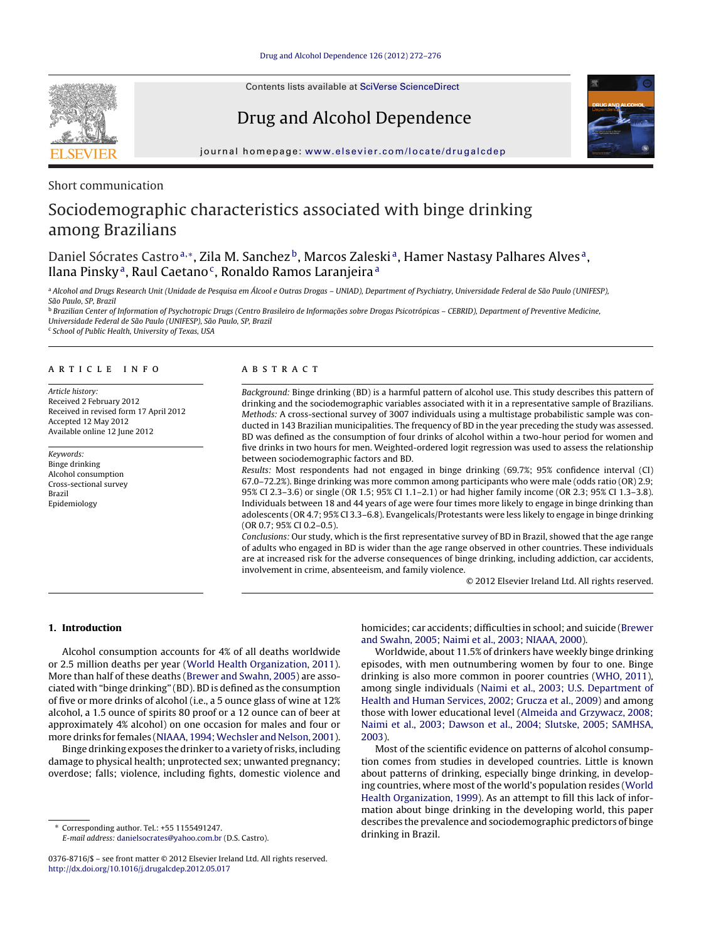Contents lists available at SciVerse [ScienceDirect](http://www.sciencedirect.com/science/journal/03768716)

Drug and Alcohol Dependence



iournal homepage: [www.elsevier.com/locate/drugalcdep](http://www.elsevier.com/locate/drugalcdep)

Short communication

# Sociodemographic characteristics associated with binge drinking among Brazilians

# Daniel Sócrates Castro<sup>a,</sup>\*, Zila M. Sanchez<sup>b</sup>, Marcos Zaleski<sup>a</sup>, Hamer Nastasy Palhares Alves<sup>a</sup>, Ilana Pinsky<sup>a</sup>, Raul Caetano<sup>c</sup>, Ronaldo Ramos Laranjeira<sup>a</sup>

a Alcohol and Drugs Research Unit (Unidade de Pesquisa em Álcool e Outras Drogas - UNIAD), Department of Psychiatry, Universidade Federal de São Paulo (UNIFESP), São Paulo, SP, Brazil

<sup>b</sup> Brazilian Center of Information of Psychotropic Drugs (Centro Brasileiro de Informações sobre Drogas Psicotrópicas – CEBRID), Department of Preventive Medicine, Universidade Federal de São Paulo (UNIFESP), São Paulo, SP, Brazil

<sup>c</sup> School of Public Health, University of Texas, USA

# a r t i c l e i n f o

Article history: Received 2 February 2012 Received in revised form 17 April 2012 Accepted 12 May 2012 Available online 12 June 2012

Keywords: Binge drinking Alcohol consumption Cross-sectional survey Brazil Epidemiology

# A B S T R A C T

Background: Binge drinking (BD) is a harmful pattern of alcohol use. This study describes this pattern of drinking and the sociodemographic variables associated with it in a representative sample of Brazilians. Methods: A cross-sectional survey of 3007 individuals using a multistage probabilistic sample was conducted in 143 Brazilian municipalities. The frequency of BD in the year preceding the study was assessed. BD was defined as the consumption of four drinks of alcohol within a two-hour period for women and five drinks in two hours for men. Weighted-ordered logit regression was used to assess the relationship between sociodemographic factors and BD.

Results: Most respondents had not engaged in binge drinking (69.7%; 95% confidence interval (CI) 67.0–72.2%). Binge drinking was more common among participants who were male (odds ratio (OR) 2.9; 95% CI 2.3–3.6) or single (OR 1.5; 95% CI 1.1–2.1) or had higher family income (OR 2.3; 95% CI 1.3–3.8). Individuals between 18 and 44 years of age were four times more likely to engage in binge drinking than adolescents (OR 4.7; 95% CI 3.3–6.8). Evangelicals/Protestants were less likely to engage in binge drinking (OR 0.7; 95% CI 0.2–0.5).

Conclusions: Our study, which is the first representative survey of BD in Brazil, showed that the age range of adults who engaged in BD is wider than the age range observed in other countries. These individuals are at increased risk for the adverse consequences of binge drinking, including addiction, car accidents, involvement in crime, absenteeism, and family violence.

© 2012 Elsevier Ireland Ltd. All rights reserved.

# 1. Introduction

Alcohol consumption accounts for 4% of all deaths worldwide or 2.5 million deaths per year [\(World](#page-4-0) [Health](#page-4-0) [Organization,](#page-4-0) [2011\).](#page-4-0) More than half of these deaths [\(Brewer](#page-4-0) [and](#page-4-0) [Swahn,](#page-4-0) [2005\)](#page-4-0) are associated with "binge drinking" (BD). BD is defined as the consumption of five or more drinks of alcohol (i.e., a 5 ounce glass of wine at 12% alcohol, a 1.5 ounce of spirits 80 proof or a 12 ounce can of beer at approximately 4% alcohol) on one occasion for males and four or more drinks for females [\(NIAAA,](#page-4-0) 1994; Wechsler [and](#page-4-0) [Nelson,](#page-4-0) [2001\).](#page-4-0)

Binge drinking exposes the drinker to a variety of risks, including damage to physical health; unprotected sex; unwanted pregnancy; overdose; falls; violence, including fights, domestic violence and

∗ Corresponding author. Tel.: +55 1155491247. E-mail address: [danielsocrates@yahoo.com.br](mailto:danielsocrates@yahoo.com.br) (D.S. Castro). homicides; car accidents; difficulties in school; and suicide [\(Brewer](#page-4-0) [and](#page-4-0) [Swahn,](#page-4-0) [2005;](#page-4-0) [Naimi](#page-4-0) et [al.,](#page-4-0) [2003;](#page-4-0) [NIAAA,](#page-4-0) [2000\).](#page-4-0)

Worldwide, about 11.5% of drinkers have weekly binge drinking episodes, with men outnumbering women by four to one. Binge drinking is also more common in poorer countries [\(WHO,](#page-4-0) [2011\),](#page-4-0) among single individuals [\(Naimi](#page-4-0) et [al.,](#page-4-0) [2003;](#page-4-0) [U.S.](#page-4-0) [Department](#page-4-0) [of](#page-4-0) [Health](#page-4-0) [and](#page-4-0) [Human](#page-4-0) [Services,](#page-4-0) [2002;](#page-4-0) [Grucza](#page-4-0) et [al.,](#page-4-0) [2009\)](#page-4-0) and among those with lower educational level [\(Almeida](#page-4-0) [and](#page-4-0) [Grzywacz,](#page-4-0) [2008;](#page-4-0) [Naimi](#page-4-0) et [al.,](#page-4-0) [2003;](#page-4-0) [Dawson](#page-4-0) et [al.,](#page-4-0) [2004;](#page-4-0) [Slutske,](#page-4-0) [2005;](#page-4-0) [SAMHSA,](#page-4-0) [2003\).](#page-4-0)

Most of the scientific evidence on patterns of alcohol consumption comes from studies in developed countries. Little is known about patterns of drinking, especially binge drinking, in developing countries, where most of the world's population resides [\(World](#page-4-0) [Health](#page-4-0) [Organization,](#page-4-0) [1999\).](#page-4-0) As an attempt to fill this lack of information about binge drinking in the developing world, this paper describes the prevalence and sociodemographic predictors of binge drinking in Brazil.

<sup>0376-8716/\$</sup> – see front matter © 2012 Elsevier Ireland Ltd. All rights reserved. [http://dx.doi.org/10.1016/j.drugalcdep.2012.05.017](dx.doi.org/10.1016/j.drugalcdep.2012.05.017)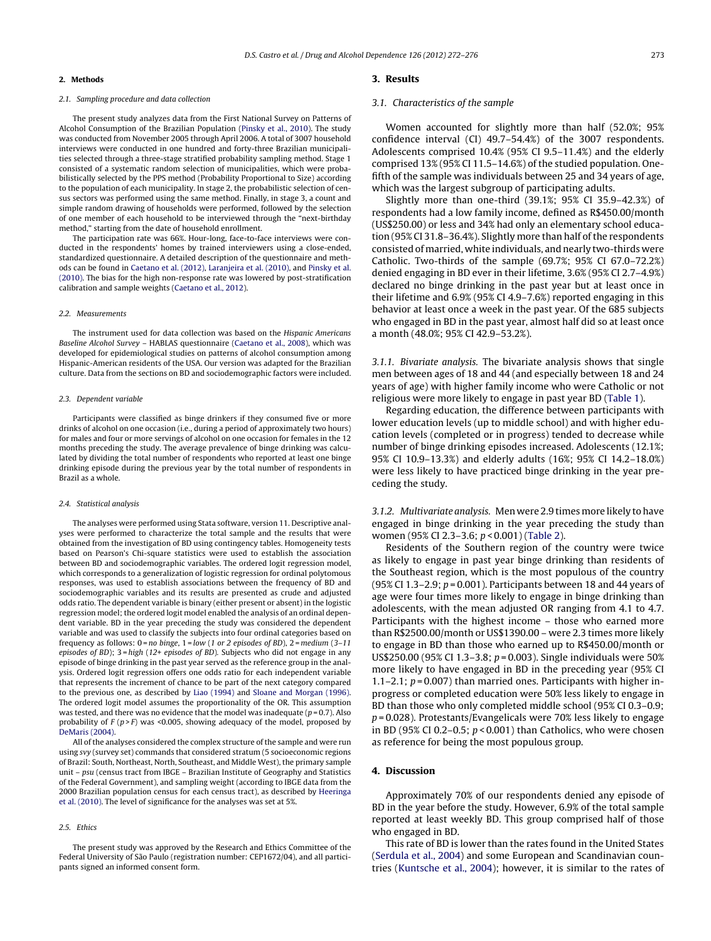#### 2. Methods

# 2.1. Sampling procedure and data collection

The present study analyzes data from the First National Survey on Patterns of Alcohol Consumption of the Brazilian Population [\(Pinsky](#page-4-0) et [al.,](#page-4-0) [2010\).](#page-4-0) The study was conducted from November 2005 through April 2006. A total of 3007 household interviews were conducted in one hundred and forty-three Brazilian municipalities selected through a three-stage stratified probability sampling method. Stage 1 consisted of a systematic random selection of municipalities, which were probabilistically selected by the PPS method (Probability Proportional to Size) according to the population of each municipality. In stage 2, the probabilistic selection of census sectors was performed using the same method. Finally, in stage 3, a count and simple random drawing of households were performed, followed by the selection of one member of each household to be interviewed through the "next-birthday method," starting from the date of household enrollment.

The participation rate was 66%. Hour-long, face-to-face interviews were conducted in the respondents' homes by trained interviewers using a close-ended, standardized questionnaire. A detailed description of the questionnaire and methods can be found in [Caetano](#page-4-0) et [al.](#page-4-0) [\(2012\),](#page-4-0) [Laranjeira](#page-4-0) et [al.](#page-4-0) [\(2010\),](#page-4-0) and [Pinsky](#page-4-0) et [al.](#page-4-0) [\(2010\).](#page-4-0) The bias for the high non-response rate was lowered by post-stratification calibration and sample weights [\(Caetano](#page-4-0) et [al.,](#page-4-0) [2012\).](#page-4-0)

#### 2.2. Measurements

The instrument used for data collection was based on the Hispanic Americans Baseline Alcohol Survey – HABLAS questionnaire [\(Caetano](#page-4-0) et [al.,](#page-4-0) [2008\),](#page-4-0) which was developed for epidemiological studies on patterns of alcohol consumption among Hispanic-American residents of the USA. Our version was adapted for the Brazilian culture. Data from the sections on BD and sociodemographic factors were included.

#### 2.3. Dependent variable

Participants were classified as binge drinkers if they consumed five or more drinks of alcohol on one occasion (i.e., during a period of approximately two hours) for males and four or more servings of alcohol on one occasion for females in the 12 months preceding the study. The average prevalence of binge drinking was calculated by dividing the total number of respondents who reported at least one binge drinking episode during the previous year by the total number of respondents in Brazil as a whole.

#### 2.4. Statistical analysis

The analyses were performed using Stata software, version 11. Descriptive analyses were performed to characterize the total sample and the results that were obtained from the investigation of BD using contingency tables. Homogeneity tests based on Pearson's Chi-square statistics were used to establish the association between BD and sociodemographic variables. The ordered logit regression model, which corresponds to a generalization of logistic regression for ordinal polytomous responses, was used to establish associations between the frequency of BD and sociodemographic variables and its results are presented as crude and adjusted odds ratio. The dependent variable is binary (either present or absent) in the logistic regression model; the ordered logit model enabled the analysis of an ordinal dependent variable. BD in the year preceding the study was considered the dependent variable and was used to classify the subjects into four ordinal categories based on frequency as follows:  $0 = no$  binge,  $1 = low$  (1 or 2 episodes of BD),  $2 = medium(3-11)$ episodes of BD);  $3 = high (12 + episodes of BD)$ . Subjects who did not engage in any episode of binge drinking in the past year served as the reference group in the analysis. Ordered logit regression offers one odds ratio for each independent variable that represents the increment of chance to be part of the next category compared to the previous one, as described by [Liao](#page-4-0) [\(1994\)](#page-4-0) and [Sloane](#page-4-0) [and](#page-4-0) [Morgan](#page-4-0) [\(1996\).](#page-4-0) The ordered logit model assumes the proportionality of the OR. This assumption was tested, and there was no evidence that the model was inadequate ( $p = 0.7$ ). Also probability of  $F(p > F)$  was <0.005, showing adequacy of the model, proposed by [DeMaris](#page-4-0) [\(2004\).](#page-4-0)

All of the analyses considered the complex structure of the sample and were run using svy (survey set) commands that considered stratum (5 socioeconomic regions of Brazil: South, Northeast, North, Southeast, and Middle West), the primary sample unit – psu (census tract from IBGE – Brazilian Institute of Geography and Statistics of the Federal Government), and sampling weight (according to IBGE data from the 2000 Brazilian population census for each census tract), as described by [Heeringa](#page-4-0) et [al.](#page-4-0) [\(2010\).](#page-4-0) The level of significance for the analyses was set at 5%.

#### 2.5. Ethics

The present study was approved by the Research and Ethics Committee of the Federal University of São Paulo (registration number: CEP1672/04), and all participants signed an informed consent form.

#### 3. Results

#### 3.1. Characteristics of the sample

Women accounted for slightly more than half (52.0%; 95% confidence interval (CI) 49.7–54.4%) of the 3007 respondents. Adolescents comprised 10.4% (95% CI 9.5–11.4%) and the elderly comprised 13% (95% CI 11.5–14.6%) of the studied population. Onefifth of the sample was individuals between 25 and 34 years of age, which was the largest subgroup of participating adults.

Slightly more than one-third (39.1%; 95% CI 35.9–42.3%) of respondents had a low family income, defined as R\$450.00/month (US\$250.00) or less and 34% had only an elementary school education (95% CI 31.8–36.4%). Slightly more than half of the respondents consisted of married, white individuals, and nearly two-thirds were Catholic. Two-thirds of the sample (69.7%; 95% CI 67.0–72.2%) denied engaging in BD ever in their lifetime, 3.6% (95% CI 2.7–4.9%) declared no binge drinking in the past year but at least once in their lifetime and 6.9% (95% CI 4.9–7.6%) reported engaging in this behavior at least once a week in the past year. Of the 685 subjects who engaged in BD in the past year, almost half did so at least once a month (48.0%; 95% CI 42.9–53.2%).

3.1.1. Bivariate analysis. The bivariate analysis shows that single men between ages of 18 and 44 (and especially between 18 and 24 years of age) with higher family income who were Catholic or not religious were more likely to engage in past year BD ([Table](#page-2-0) 1).

Regarding education, the difference between participants with lower education levels (up to middle school) and with higher education levels (completed or in progress) tended to decrease while number of binge drinking episodes increased. Adolescents (12.1%; 95% CI 10.9–13.3%) and elderly adults (16%; 95% CI 14.2–18.0%) were less likely to have practiced binge drinking in the year preceding the study.

3.1.2. Multivariate analysis. Men were 2.9 times more likely to have engaged in binge drinking in the year preceding the study than women (95% CI 2.3–3.6; p < 0.001) [\(Table](#page-3-0) 2).

Residents of the Southern region of the country were twice as likely to engage in past year binge drinking than residents of the Southeast region, which is the most populous of the country (95% CI 1.3–2.9;  $p = 0.001$ ). Participants between 18 and 44 years of age were four times more likely to engage in binge drinking than adolescents, with the mean adjusted OR ranging from 4.1 to 4.7. Participants with the highest income – those who earned more than R\$2500.00/month or US\$1390.00 – were 2.3 times more likely to engage in BD than those who earned up to R\$450.00/month or US\$250.00 (95% CI 1.3-3.8;  $p = 0.003$ ). Single individuals were 50% more likely to have engaged in BD in the preceding year (95% CI 1.1–2.1;  $p = 0.007$ ) than married ones. Participants with higher inprogress or completed education were 50% less likely to engage in BD than those who only completed middle school (95% CI 0.3–0.9;  $p = 0.028$ ). Protestants/Evangelicals were 70% less likely to engage in BD (95% CI 0.2–0.5;  $p < 0.001$ ) than Catholics, who were chosen as reference for being the most populous group.

# 4. Discussion

Approximately 70% of our respondents denied any episode of BD in the year before the study. However, 6.9% of the total sample reported at least weekly BD. This group comprised half of those who engaged in BD.

This rate of BD is lower than the rates found in the United States [\(Serdula](#page-4-0) et [al.,](#page-4-0) [2004\)](#page-4-0) and some European and Scandinavian countries [\(Kuntsche](#page-4-0) et [al.,](#page-4-0) [2004\);](#page-4-0) however, it is similar to the rates of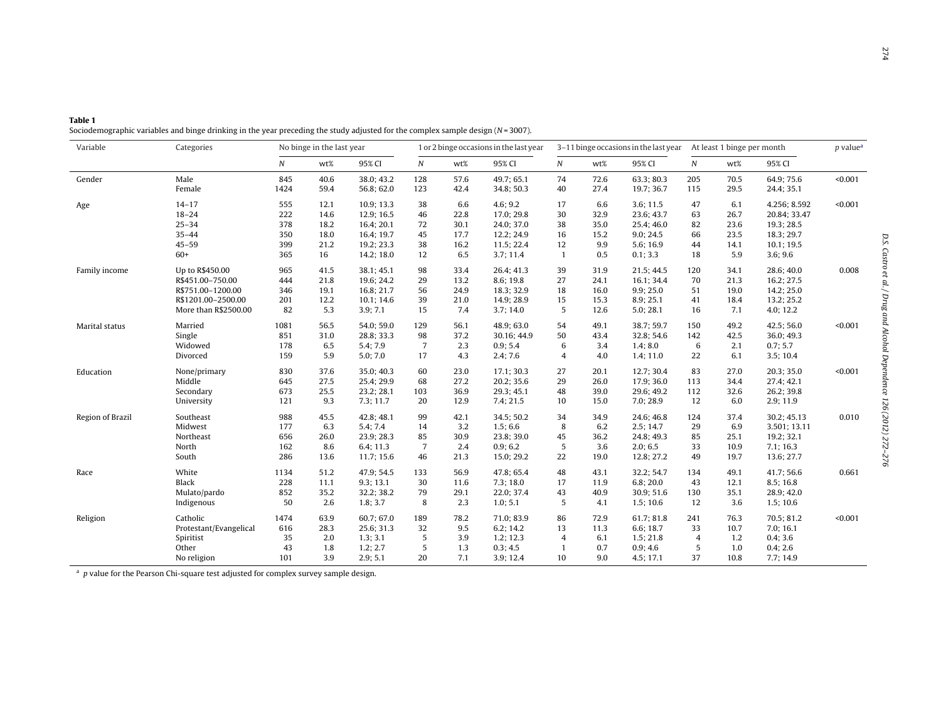<span id="page-2-0"></span>

| Table 1                                                                                                                           |
|-----------------------------------------------------------------------------------------------------------------------------------|
| Sociodemographic variables and binge drinking in the year preceding the study adjusted for the complex sample design $(N=3007)$ . |

| Variable         | Categories             | No binge in the last year |      |            | 1 or 2 binge occasions in the last year |      |             | 3-11 binge occasions in the last year At least 1 binge per month |      |            |                |      |              | $p$ value <sup><math>a</math></sup> |
|------------------|------------------------|---------------------------|------|------------|-----------------------------------------|------|-------------|------------------------------------------------------------------|------|------------|----------------|------|--------------|-------------------------------------|
|                  |                        | N                         | wt%  | 95% CI     | $\boldsymbol{N}$                        | wt%  | 95% CI      | $\boldsymbol{N}$                                                 | wt%  | 95% CI     | N              | wt%  | 95% CI       |                                     |
| Gender           | Male                   | 845                       | 40.6 | 38.0; 43.2 | 128                                     | 57.6 | 49.7; 65.1  | 74                                                               | 72.6 | 63.3; 80.3 | 205            | 70.5 | 64.9; 75.6   | < 0.001                             |
|                  | Female                 | 1424                      | 59.4 | 56.8; 62.0 | 123                                     | 42.4 | 34.8; 50.3  | 40                                                               | 27.4 | 19.7; 36.7 | 115            | 29.5 | 24.4; 35.1   |                                     |
| Age              | $14 - 17$              | 555                       | 12.1 | 10.9; 13.3 | 38                                      | 6.6  | 4.6; 9.2    | 17                                                               | 6.6  | 3.6; 11.5  | 47             | 6.1  | 4.256; 8.592 | < 0.001                             |
|                  | $18 - 24$              | 222                       | 14.6 | 12.9; 16.5 | 46                                      | 22.8 | 17.0; 29.8  | 30                                                               | 32.9 | 23.6; 43.7 | 63             | 26.7 | 20.84; 33.47 |                                     |
|                  | $25 - 34$              | 378                       | 18.2 | 16.4; 20.1 | 72                                      | 30.1 | 24.0; 37.0  | 38                                                               | 35.0 | 25.4; 46.0 | 82             | 23.6 | 19.3; 28.5   |                                     |
|                  | $35 - 44$              | 350                       | 18.0 | 16.4; 19.7 | 45                                      | 17.7 | 12.2; 24.9  | 16                                                               | 15.2 | 9.0; 24.5  | 66             | 23.5 | 18.3; 29.7   |                                     |
|                  | $45 - 59$              | 399                       | 21.2 | 19.2; 23.3 | 38                                      | 16.2 | 11.5; 22.4  | 12                                                               | 9.9  | 5.6; 16.9  | 44             | 14.1 | 10.1; 19.5   |                                     |
|                  | $60+$                  | 365                       | 16   | 14.2; 18.0 | 12                                      | 6.5  | 3.7; 11.4   | $\mathbf{1}$                                                     | 0.5  | 0.1; 3.3   | 18             | 5.9  | 3.6; 9.6     |                                     |
| Family income    | Up to R\$450.00        | 965                       | 41.5 | 38.1; 45.1 | 98                                      | 33.4 | 26.4; 41.3  | 39                                                               | 31.9 | 21.5; 44.5 | 120            | 34.1 | 28.6; 40.0   | 0.008                               |
|                  | R\$451.00-750.00       | 444                       | 21.8 | 19.6; 24.2 | 29                                      | 13.2 | 8.6; 19.8   | 27                                                               | 24.1 | 16.1:34.4  | 70             | 21.3 | 16.2; 27.5   |                                     |
|                  | R\$751.00-1200.00      | 346                       | 19.1 | 16.8; 21.7 | 56                                      | 24.9 | 18.3; 32.9  | 18                                                               | 16.0 | 9.9; 25.0  | 51             | 19.0 | 14.2; 25.0   |                                     |
|                  | R\$1201.00-2500.00     | 201                       | 12.2 | 10.1; 14.6 | 39                                      | 21.0 | 14.9; 28.9  | 15                                                               | 15.3 | 8.9; 25.1  | 41             | 18.4 | 13.2; 25.2   |                                     |
|                  | More than R\$2500.00   | 82                        | 5.3  | 3.9; 7.1   | 15                                      | 7.4  | 3.7; 14.0   | 5                                                                | 12.6 | 5.0; 28.1  | 16             | 7.1  | 4.0; 12.2    |                                     |
| Marital status   | Married                | 1081                      | 56.5 | 54.0; 59.0 | 129                                     | 56.1 | 48.9; 63.0  | 54                                                               | 49.1 | 38.7; 59.7 | 150            | 49.2 | 42.5; 56.0   | < 0.001                             |
|                  | Single                 | 851                       | 31.0 | 28.8; 33.3 | 98                                      | 37.2 | 30.16; 44.9 | 50                                                               | 43.4 | 32.8; 54.6 | 142            | 42.5 | 36.0; 49.3   |                                     |
|                  | Widowed                | 178                       | 6.5  | 5.4; 7.9   | $\overline{7}$                          | 2.3  | 0.9; 5.4    | $\,6\,$                                                          | 3.4  | 1.4; 8.0   | 6              | 2.1  | 0.7; 5.7     |                                     |
|                  | Divorced               | 159                       | 5.9  | 5.0; 7.0   | 17                                      | 4.3  | 2.4; 7.6    | 4                                                                | 4.0  | 1.4; 11.0  | 22             | 6.1  | 3.5; 10.4    |                                     |
| Education        | None/primary           | 830                       | 37.6 | 35.0; 40.3 | 60                                      | 23.0 | 17.1; 30.3  | 27                                                               | 20.1 | 12.7; 30.4 | 83             | 27.0 | 20.3; 35.0   | < 0.001                             |
|                  | Middle                 | 645                       | 27.5 | 25.4; 29.9 | 68                                      | 27.2 | 20.2; 35.6  | 29                                                               | 26.0 | 17.9; 36.0 | 113            | 34.4 | 27.4; 42.1   |                                     |
|                  | Secondary              | 673                       | 25.5 | 23.2; 28.1 | 103                                     | 36.9 | 29.3; 45.1  | 48                                                               | 39.0 | 29.6; 49.2 | 112            | 32.6 | 26.2; 39.8   |                                     |
|                  | University             | 121                       | 9.3  | 7.3:11.7   | 20                                      | 12.9 | 7.4; 21.5   | 10                                                               | 15.0 | 7.0; 28.9  | 12             | 6.0  | 2.9; 11.9    |                                     |
| Region of Brazil | Southeast              | 988                       | 45.5 | 42.8; 48.1 | 99                                      | 42.1 | 34.5; 50.2  | 34                                                               | 34.9 | 24.6; 46.8 | 124            | 37.4 | 30.2; 45.13  | 0.010                               |
|                  | Midwest                | 177                       | 6.3  | 5.4; 7.4   | 14                                      | 3.2  | 1.5; 6.6    | 8                                                                | 6.2  | 2.5:14.7   | 29             | 6.9  | 3.501; 13.11 |                                     |
|                  | Northeast              | 656                       | 26.0 | 23.9; 28.3 | 85                                      | 30.9 | 23.8; 39.0  | 45                                                               | 36.2 | 24.8; 49.3 | 85             | 25.1 | 19.2; 32.1   |                                     |
|                  | North                  | 162                       | 8.6  | 6.4; 11.3  | $\overline{7}$                          | 2.4  | 0.9; 6.2    | 5                                                                | 3.6  | 2.0; 6.5   | 33             | 10.9 | 7.1:16.3     |                                     |
|                  | South                  | 286                       | 13.6 | 11.7; 15.6 | 46                                      | 21.3 | 15.0; 29.2  | 22                                                               | 19.0 | 12.8; 27.2 | 49             | 19.7 | 13.6; 27.7   |                                     |
| Race             | White                  | 1134                      | 51.2 | 47.9; 54.5 | 133                                     | 56.9 | 47.8; 65.4  | 48                                                               | 43.1 | 32.2; 54.7 | 134            | 49.1 | 41.7; 56.6   | 0.661                               |
|                  | Black                  | 228                       | 11.1 | 9.3; 13.1  | 30                                      | 11.6 | 7.3; 18.0   | 17                                                               | 11.9 | 6.8; 20.0  | 43             | 12.1 | 8.5; 16.8    |                                     |
|                  | Mulato/pardo           | 852                       | 35.2 | 32.2; 38.2 | 79                                      | 29.1 | 22.0; 37.4  | 43                                                               | 40.9 | 30.9; 51.6 | 130            | 35.1 | 28.9; 42.0   |                                     |
|                  | Indigenous             | 50                        | 2.6  | 1.8; 3.7   | 8                                       | 2.3  | 1.0; 5.1    | 5                                                                | 4.1  | 1.5:10.6   | 12             | 3.6  | 1.5; 10.6    |                                     |
| Religion         | Catholic               | 1474                      | 63.9 | 60.7:67.0  | 189                                     | 78.2 | 71.0; 83.9  | 86                                                               | 72.9 | 61.7:81.8  | 241            | 76.3 | 70.5; 81.2   | < 0.001                             |
|                  | Protestant/Evangelical | 616                       | 28.3 | 25.6; 31.3 | 32                                      | 9.5  | 6.2; 14.2   | 13                                                               | 11.3 | 6.6; 18.7  | 33             | 10.7 | 7.0; 16.1    |                                     |
|                  | Spiritist              | 35                        | 2.0  | 1.3; 3.1   | 5                                       | 3.9  | 1.2; 12.3   | $\overline{4}$                                                   | 6.1  | 1.5:21.8   | $\overline{4}$ | 1.2  | 0.4; 3.6     |                                     |
|                  | Other                  | 43                        | 1.8  | 1.2; 2.7   | 5                                       | 1.3  | 0.3; 4.5    | $\mathbf{1}$                                                     | 0.7  | 0.9; 4.6   | 5              | 1.0  | 0.4; 2.6     |                                     |
|                  | No religion            | 101                       | 3.9  | 2.9; 5.1   | 20                                      | 7.1  | 3.9; 12.4   | 10                                                               | 9.0  | 4.5:17.1   | 37             | 10.8 | 7.7:14.9     |                                     |

 $\frac{a}{a}$  p value for the Pearson Chi-square test adjusted for complex survey sample design.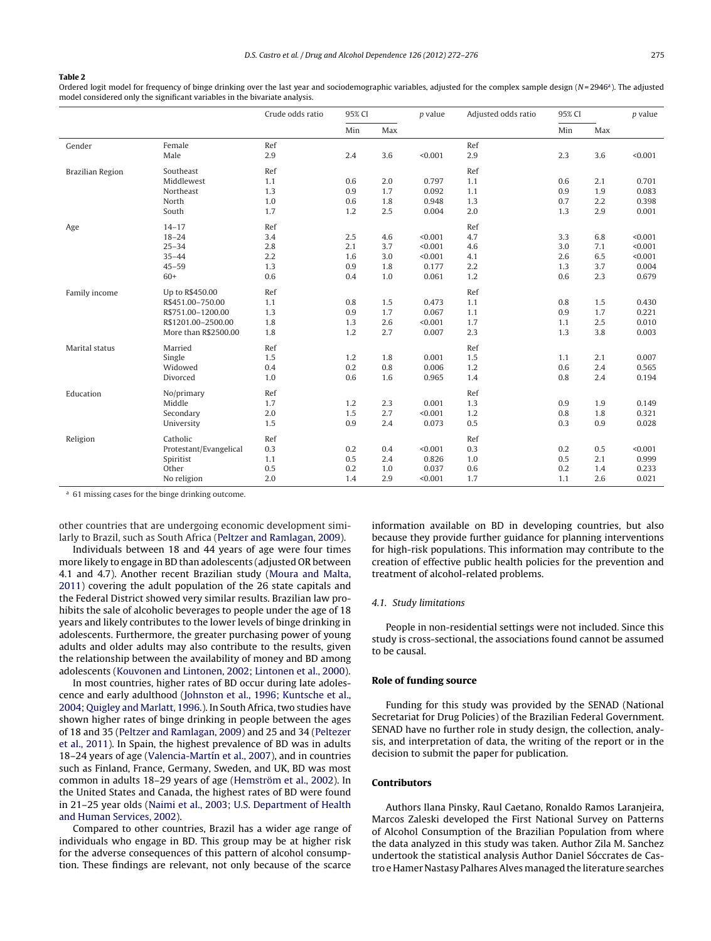#### <span id="page-3-0"></span>Table 2

Ordered logit model for frequency of binge drinking over the last year and sociodemographic variables, adjusted for the complex sample design  $(N=2946)$ . The adjusted model considered only the significant variables in the bivariate analysis.

|                  |                        | Crude odds ratio | 95% CI |     | $p$ value | Adjusted odds ratio | 95% CI |     | $p$ value |
|------------------|------------------------|------------------|--------|-----|-----------|---------------------|--------|-----|-----------|
|                  |                        |                  | Min    | Max |           |                     | Min    | Max |           |
| Gender           | Female                 | Ref              |        |     |           | Ref                 |        |     |           |
|                  | Male                   | 2.9              | 2.4    | 3.6 | < 0.001   | 2.9                 | 2.3    | 3.6 | < 0.001   |
| Brazilian Region | Southeast              | Ref              |        |     |           | Ref                 |        |     |           |
|                  | Middlewest             | 1.1              | 0.6    | 2.0 | 0.797     | 1.1                 | 0.6    | 2.1 | 0.701     |
|                  | Northeast              | 1.3              | 0.9    | 1.7 | 0.092     | 1.1                 | 0.9    | 1.9 | 0.083     |
|                  | North                  | 1.0              | 0.6    | 1.8 | 0.948     | 1.3                 | 0.7    | 2.2 | 0.398     |
|                  | South                  | 1.7              | 1.2    | 2.5 | 0.004     | 2.0                 | 1.3    | 2.9 | 0.001     |
| Age              | $14 - 17$              | Ref              |        |     |           | Ref                 |        |     |           |
|                  | $18 - 24$              | 3.4              | 2.5    | 4.6 | < 0.001   | 4.7                 | 3.3    | 6.8 | < 0.001   |
|                  | $25 - 34$              | 2.8              | 2.1    | 3.7 | < 0.001   | 4.6                 | 3.0    | 7.1 | < 0.001   |
|                  | $35 - 44$              | 2.2              | 1.6    | 3.0 | < 0.001   | 4.1                 | 2.6    | 6.5 | < 0.001   |
|                  | $45 - 59$              | 1.3              | 0.9    | 1.8 | 0.177     | 2.2                 | 1.3    | 3.7 | 0.004     |
|                  | $60+$                  | 0.6              | 0.4    | 1.0 | 0.061     | 1.2                 | 0.6    | 2.3 | 0.679     |
| Family income    | Up to R\$450.00        | Ref              |        |     |           | Ref                 |        |     |           |
|                  | R\$451.00-750.00       | 1.1              | 0.8    | 1.5 | 0.473     | 1.1                 | 0.8    | 1.5 | 0.430     |
|                  | R\$751.00-1200.00      | 1.3              | 0.9    | 1.7 | 0.067     | 1.1                 | 0.9    | 1.7 | 0.221     |
|                  | R\$1201.00-2500.00     | 1.8              | 1.3    | 2.6 | < 0.001   | 1.7                 | 1.1    | 2.5 | 0.010     |
|                  | More than R\$2500.00   | 1.8              | 1.2    | 2.7 | 0.007     | 2.3                 | 1.3    | 3.8 | 0.003     |
| Marital status   | Married                | Ref              |        |     |           | Ref                 |        |     |           |
|                  | Single                 | 1.5              | 1.2    | 1.8 | 0.001     | 1.5                 | 1.1    | 2.1 | 0.007     |
|                  | Widowed                | 0.4              | 0.2    | 0.8 | 0.006     | 1.2                 | 0.6    | 2.4 | 0.565     |
|                  | Divorced               | 1.0              | 0.6    | 1.6 | 0.965     | 1.4                 | 0.8    | 2.4 | 0.194     |
| Education        | No/primary             | Ref              |        |     |           | Ref                 |        |     |           |
|                  | Middle                 | 1.7              | 1.2    | 2.3 | 0.001     | 1.3                 | 0.9    | 1.9 | 0.149     |
|                  | Secondary              | 2.0              | 1.5    | 2.7 | < 0.001   | 1.2                 | 0.8    | 1.8 | 0.321     |
|                  | University             | 1.5              | 0.9    | 2.4 | 0.073     | 0.5                 | 0.3    | 0.9 | 0.028     |
| Religion         | Catholic               | Ref              |        |     |           | Ref                 |        |     |           |
|                  | Protestant/Evangelical | 0.3              | 0.2    | 0.4 | < 0.001   | 0.3                 | 0.2    | 0.5 | < 0.001   |
|                  | Spiritist              | 1.1              | 0.5    | 2.4 | 0.826     | $1.0$               | 0.5    | 2.1 | 0.999     |
|                  | Other                  | 0.5              | 0.2    | 1.0 | 0.037     | 0.6                 | 0.2    | 1.4 | 0.233     |
|                  | No religion            | 2.0              | 1.4    | 2.9 | < 0.001   | 1.7                 | 1.1    | 2.6 | 0.021     |

<sup>a</sup> 61 missing cases for the binge drinking outcome.

other countries that are undergoing economic development similarly to Brazil, such as South Africa [\(Peltzer](#page-4-0) [and](#page-4-0) [Ramlagan,](#page-4-0) [2009\).](#page-4-0)

Individuals between 18 and 44 years of age were four times more likely to engage in BD than adolescents (adjusted OR between 4.1 and 4.7). Another recent Brazilian study [\(Moura](#page-4-0) [and](#page-4-0) [Malta,](#page-4-0) [2011\)](#page-4-0) covering the adult population of the 26 state capitals and the Federal District showed very similar results. Brazilian law prohibits the sale of alcoholic beverages to people under the age of 18 years and likely contributes to the lower levels of binge drinking in adolescents. Furthermore, the greater purchasing power of young adults and older adults may also contribute to the results, given the relationship between the availability of money and BD among adolescents [\(Kouvonen](#page-4-0) [and](#page-4-0) [Lintonen,](#page-4-0) [2002;](#page-4-0) [Lintonen](#page-4-0) et [al.,](#page-4-0) [2000\).](#page-4-0)

In most countries, higher rates of BD occur during late adolescence and early adulthood [\(Johnston](#page-4-0) et [al.,](#page-4-0) [1996;](#page-4-0) [Kuntsche](#page-4-0) et [al.,](#page-4-0) [2004;](#page-4-0) [Quigley](#page-4-0) [and](#page-4-0) [Marlatt,](#page-4-0) [1996.\)](#page-4-0). In South Africa, two studies have shown higher rates of binge drinking in people between the ages of 18 and 35 [\(Peltzer](#page-4-0) [and](#page-4-0) [Ramlagan,](#page-4-0) [2009\)](#page-4-0) and 25 and 34 [\(Peltezer](#page-4-0) et [al.,](#page-4-0) [2011\).](#page-4-0) In Spain, the highest prevalence of BD was in adults 18–24 years of age [\(Valencia-Martín](#page-4-0) et [al.,](#page-4-0) [2007\),](#page-4-0) and in countries such as Finland, France, Germany, Sweden, and UK, BD was most common in adults 18–29 years of age ([Hemström](#page-4-0) et [al.,](#page-4-0) [2002\).](#page-4-0) In the United States and Canada, the highest rates of BD were found in 21–25 year olds [\(Naimi](#page-4-0) et [al.,](#page-4-0) [2003;](#page-4-0) [U.S.](#page-4-0) [Department](#page-4-0) [of](#page-4-0) [Health](#page-4-0) [and](#page-4-0) [Human](#page-4-0) [Services,](#page-4-0) [2002\).](#page-4-0)

Compared to other countries, Brazil has a wider age range of individuals who engage in BD. This group may be at higher risk for the adverse consequences of this pattern of alcohol consumption. These findings are relevant, not only because of the scarce

information available on BD in developing countries, but also because they provide further guidance for planning interventions for high-risk populations. This information may contribute to the creation of effective public health policies for the prevention and treatment of alcohol-related problems.

# 4.1. Study limitations

People in non-residential settings were not included. Since this study is cross-sectional, the associations found cannot be assumed to be causal.

# Role of funding source

Funding for this study was provided by the SENAD (National Secretariat for Drug Policies) of the Brazilian Federal Government. SENAD have no further role in study design, the collection, analysis, and interpretation of data, the writing of the report or in the decision to submit the paper for publication.

# Contributors

Authors Ilana Pinsky, Raul Caetano, Ronaldo Ramos Laranjeira, Marcos Zaleski developed the First National Survey on Patterns of Alcohol Consumption of the Brazilian Population from where the data analyzed in this study was taken. Author Zila M. Sanchez undertook the statistical analysis Author Daniel Sóccrates de Castro e Hamer Nastasy PalharesAlvesmanaged the literature searches